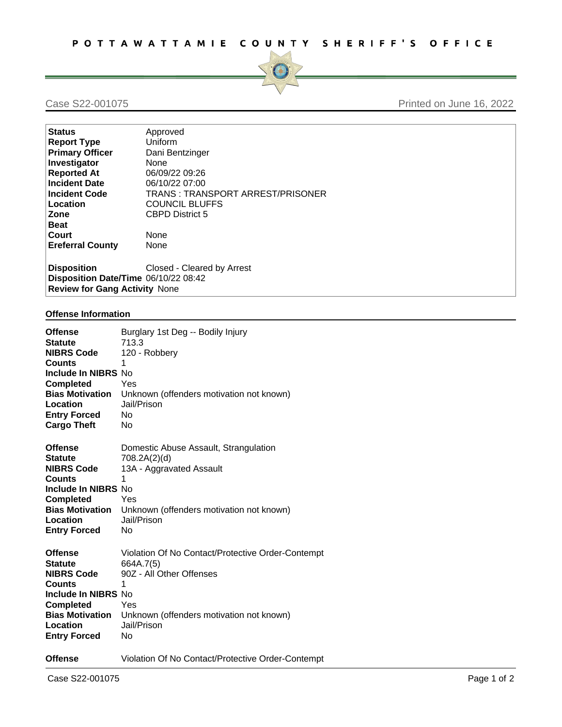

## Case S22-001075 Printed on June 16, 2022

| <b>Status</b>                        | Approved                         |  |
|--------------------------------------|----------------------------------|--|
| <b>Report Type</b>                   | Uniform                          |  |
| <b>Primary Officer</b>               | Dani Bentzinger                  |  |
| Investigator                         | None                             |  |
| <b>Reported At</b>                   | 06/09/22 09:26                   |  |
| <b>Incident Date</b>                 | 06/10/22 07:00                   |  |
| <b>Incident Code</b>                 | TRANS: TRANSPORT ARREST/PRISONER |  |
| Location                             | <b>COUNCIL BLUFFS</b>            |  |
| Zone                                 | <b>CBPD District 5</b>           |  |
| <b>Beat</b>                          |                                  |  |
| Court                                | <b>None</b>                      |  |
| <b>Ereferral County</b>              | None                             |  |
|                                      |                                  |  |
| <b>Disposition</b>                   | Closed - Cleared by Arrest       |  |
| Disposition Date/Time 06/10/22 08:42 |                                  |  |
| <b>Review for Gang Activity None</b> |                                  |  |

## **Offense Information**

| <b>Offense</b><br><b>Statute</b><br><b>NIBRS Code</b><br><b>Counts</b><br>Include In NIBRS No<br><b>Completed</b><br><b>Bias Motivation</b><br>Location<br><b>Entry Forced</b><br><b>Cargo Theft</b> | Burglary 1st Deg -- Bodily Injury<br>713.3<br>120 - Robbery<br>1<br>Yes<br>Unknown (offenders motivation not known)<br>Jail/Prison<br><b>No</b><br>No                     |
|------------------------------------------------------------------------------------------------------------------------------------------------------------------------------------------------------|---------------------------------------------------------------------------------------------------------------------------------------------------------------------------|
| <b>Offense</b><br><b>Statute</b><br><b>NIBRS Code</b><br><b>Counts</b><br>Include In NIBRS No<br><b>Completed</b><br><b>Bias Motivation</b><br>Location<br><b>Entry Forced</b>                       | Domestic Abuse Assault, Strangulation<br>708.2A(2)(d)<br>13A - Aggravated Assault<br>$\mathbf{1}$<br>Yes<br>Unknown (offenders motivation not known)<br>Jail/Prison<br>No |
| <b>Offense</b><br><b>Statute</b><br><b>NIBRS Code</b><br><b>Counts</b><br>Include In NIBRS No<br><b>Completed</b><br><b>Bias Motivation</b><br>Location<br><b>Entry Forced</b>                       | Violation Of No Contact/Protective Order-Contempt<br>664A.7(5)<br>90Z - All Other Offenses<br>1<br>Yes<br>Unknown (offenders motivation not known)<br>Jail/Prison<br>No   |
| <b>Offense</b>                                                                                                                                                                                       | Violation Of No Contact/Protective Order-Contempt                                                                                                                         |